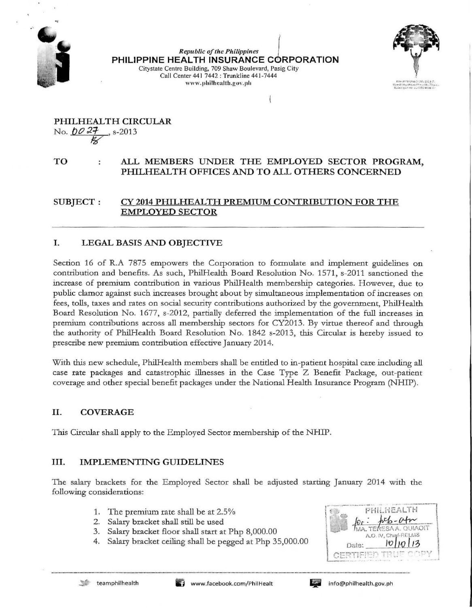

*Republic of tire Philippines* f **PHILIPPINE HEALTH INSURANCE CORPORATION** Citystate Centre Building, 709 Shaw Boulevard, Pasig City Call Center 441 7442 : Trunkline 441-7444 www.philbealth.gov.ph



PHILHEALTH CIRCULAR No. *00* **27**, s-2013  $\mathscr{G}$ 

# TO ALL MEMBERS UNDER THE EMPLOYED SECTOR PROGRAM, PHILHEALTH OFFICES AND TO ALL OTHERS CONCERNED

SUBJECT: CY 2014 PHILHEALTH PREMIUM CONTRIBUTION FOR THE EMPLOYED SECTOR

# I. LEGAL BASIS AND OBJECTIVE

Section 16 of R.A 7875 empowers the Corporation to formulate and implement guidelines on contribution and benefits. As such, PhilHealth Board Resolution No. 1571, s-2011 sanctioned the increase of premium contribution in various PhilHealth membership categories. However, due to public clamor against such increases brought about by simultaneous implementation of increases on fees, tolls, taxes and rates on social security contributions authorized by the government, PhilHealth Board Resolution No. 1677, s-2012, partially deferred the implementation of the full increases in premium contributions across all membership sectors for CY2013. By virtue thereof and through the authority of PhilHealth Board Resolution No. 1842 s-2013, this Circular is hereby issued to prescribe new premium contribution effective January 2014.

With this new schedule, PhilHealth members shall be entitled to in-patient hospital care including all case rate packages and catastrophic illnesses in the Case Type Z Benefit Package, out-patient coverage and other special benefit packages under the National Health Insurance Program (NHIP).

## II. COVERAGE

This Circular shall apply to the Employed Sector membership of the NHIP.

## III. IMPLEMENTING GUIDELINES

The salary brackets for the Employed Sector shall be adjusted starting January 2014 with the following considerations:

- 1. The premium rate shall be at 2.5%
- 2. Salary bracket shall still be used
- 3. Salary bracket floor shall start at Php 8,000.00
- 4. Salary bracket ceiling shall be pegged at Php 35,000.00